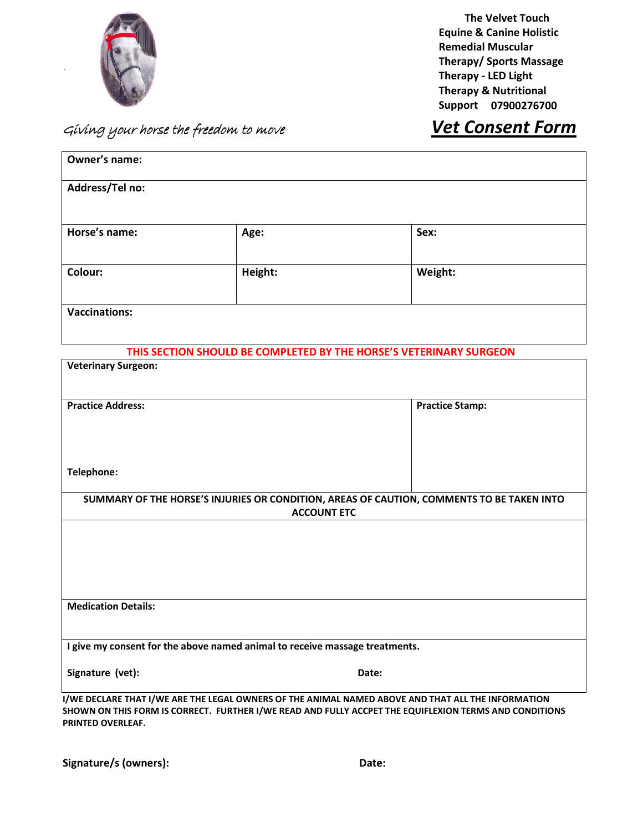

**The Velvet Touch Equine & Canine Holistic Remedial Muscular Therapy/ Sports Massage Therapy - LED Light Therapy & Nutritional Support 07900276700**

## Giving your horse the freedom to move *Vet Consent Form*

| Owner's name:              |                                                                             |                                                                                                                                                                                                              |
|----------------------------|-----------------------------------------------------------------------------|--------------------------------------------------------------------------------------------------------------------------------------------------------------------------------------------------------------|
| Address/Tel no:            |                                                                             |                                                                                                                                                                                                              |
| Horse's name:              | Age:                                                                        | Sex:                                                                                                                                                                                                         |
| Colour:                    | Height:                                                                     | Weight:                                                                                                                                                                                                      |
| <b>Vaccinations:</b>       |                                                                             |                                                                                                                                                                                                              |
|                            |                                                                             | THIS SECTION SHOULD BE COMPLETED BY THE HORSE'S VETERINARY SURGEON                                                                                                                                           |
| <b>Veterinary Surgeon:</b> |                                                                             |                                                                                                                                                                                                              |
| <b>Practice Address:</b>   |                                                                             | <b>Practice Stamp:</b>                                                                                                                                                                                       |
| Telephone:                 |                                                                             |                                                                                                                                                                                                              |
|                            | <b>ACCOUNT ETC</b>                                                          | SUMMARY OF THE HORSE'S INJURIES OR CONDITION, AREAS OF CAUTION, COMMENTS TO BE TAKEN INTO                                                                                                                    |
|                            |                                                                             |                                                                                                                                                                                                              |
| <b>Medication Details:</b> |                                                                             |                                                                                                                                                                                                              |
|                            | I give my consent for the above named animal to receive massage treatments. |                                                                                                                                                                                                              |
| Signature (vet):           |                                                                             | Date:                                                                                                                                                                                                        |
| PRINTED OVERLEAF.          |                                                                             | I/WE DECLARE THAT I/WE ARE THE LEGAL OWNERS OF THE ANIMAL NAMED ABOVE AND THAT ALL THE INFORMATION<br>SHOWN ON THIS FORM IS CORRECT. FURTHER I/WE READ AND FULLY ACCPET THE EQUIFLEXION TERMS AND CONDITIONS |